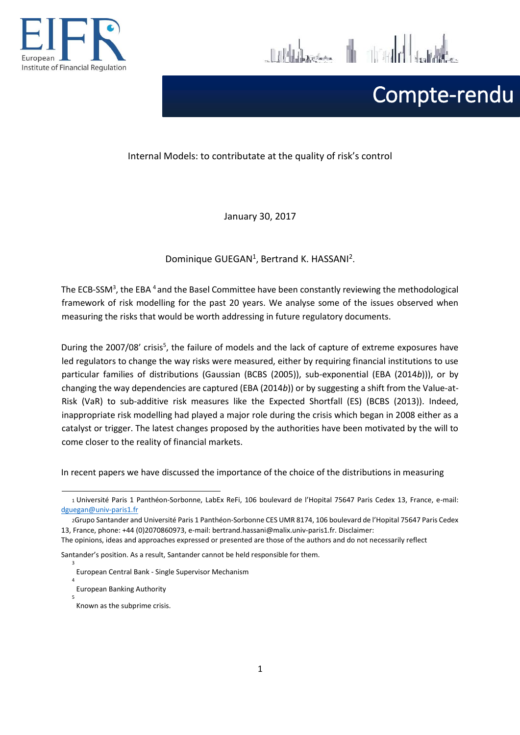

Julian H Julia

# Compte-rendu

#### Internal Models: to contributate at the quality of risk's control

January 30, 2017

Dominique GUEGAN<sup>1</sup>, Bertrand K. HASSANI<sup>2</sup>.

The ECB-SSM<sup>3</sup>, the EBA<sup>4</sup> and the Basel Committee have been constantly reviewing the methodological framework of risk modelling for the past 20 years. We analyse some of the issues observed when measuring the risks that would be worth addressing in future regulatory documents.

During the 2007/08' crisis<sup>5</sup>, the failure of models and the lack of capture of extreme exposures have led regulators to change the way risks were measured, either by requiring financial institutions to use particular families of distributions (Gaussian (BCBS (2005)), sub-exponential (EBA (2014*b*))), or by changing the way dependencies are captured (EBA (2014*b*)) or by suggesting a shift from the Value-at-Risk (VaR) to sub-additive risk measures like the Expected Shortfall (ES) (BCBS (2013)). Indeed, inappropriate risk modelling had played a major role during the crisis which began in 2008 either as a catalyst or trigger. The latest changes proposed by the authorities have been motivated by the will to come closer to the reality of financial markets.

In recent papers we have discussed the importance of the choice of the distributions in measuring

Santander's position. As a result, Santander cannot be held responsible for them.

- European Banking Authority
- 5

3

4

<sup>1</sup>Université Paris 1 Panthéon-Sorbonne, LabEx ReFi, 106 boulevard de l'Hopital 75647 Paris Cedex 13, France, e-mail: [dguegan@univ-paris1.fr](mailto:dguegan@univ-paris1.fr)

<sup>2</sup>Grupo Santander and Université Paris 1 Panthéon-Sorbonne CES UMR 8174, 106 boulevard de l'Hopital 75647 Paris Cedex 13, France, phone: +44 (0)2070860973, e-mail: bertrand.hassani@malix.univ-paris1.fr. Disclaimer:

The opinions, ideas and approaches expressed or presented are those of the authors and do not necessarily reflect

European Central Bank - Single Supervisor Mechanism

Known as the subprime crisis.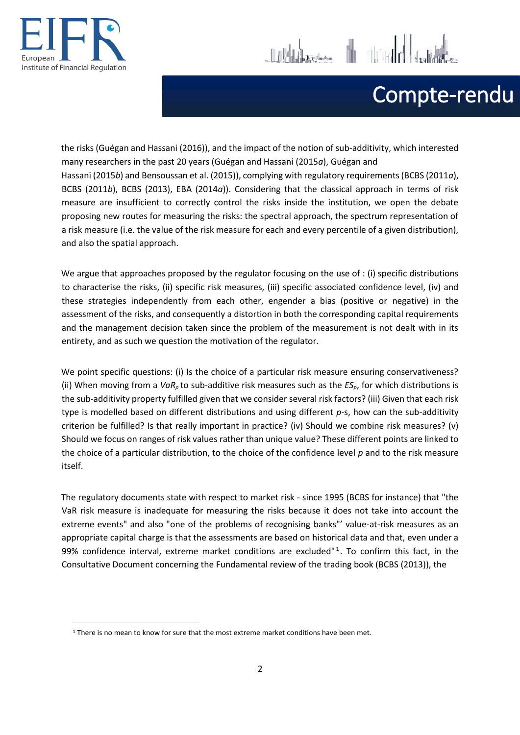

**.** 

# Compte-rendu

the risks (Guégan and Hassani (2016)), and the impact of the notion of sub-additivity, which interested many researchers in the past 20 years (Guégan and Hassani (2015*a*), Guégan and Hassani (2015*b*) and Bensoussan et al. (2015)), complying with regulatory requirements (BCBS (2011*a*), BCBS (2011*b*), BCBS (2013), EBA (2014*a*)). Considering that the classical approach in terms of risk measure are insufficient to correctly control the risks inside the institution, we open the debate proposing new routes for measuring the risks: the spectral approach, the spectrum representation of a risk measure (i.e. the value of the risk measure for each and every percentile of a given distribution), and also the spatial approach.

 $\begin{array}{ccc} \begin{array}{ccc} \end{array} & \begin{array}{ccc} \end{array} & \begin{array}{ccc} \end{array} & \begin{array}{ccc} \end{array} & \begin{array}{ccc} \end{array} & \begin{array}{ccc} \end{array} & \begin{array}{ccc} \end{array} \end{array} \end{array}$ 

We argue that approaches proposed by the regulator focusing on the use of : (i) specific distributions to characterise the risks, (ii) specific risk measures, (iii) specific associated confidence level, (iv) and these strategies independently from each other, engender a bias (positive or negative) in the assessment of the risks, and consequently a distortion in both the corresponding capital requirements and the management decision taken since the problem of the measurement is not dealt with in its entirety, and as such we question the motivation of the regulator.

We point specific questions: (i) Is the choice of a particular risk measure ensuring conservativeness? (ii) When moving from a *VaRp* to sub-additive risk measures such as the *ESp*, for which distributions is the sub-additivity property fulfilled given that we consider several risk factors? (iii) Given that each risk type is modelled based on different distributions and using different *p*-s, how can the sub-additivity criterion be fulfilled? Is that really important in practice? (iv) Should we combine risk measures? (v) Should we focus on ranges of risk values rather than unique value? These different points are linked to the choice of a particular distribution, to the choice of the confidence level *p* and to the risk measure itself.

The regulatory documents state with respect to market risk - since 1995 (BCBS for instance) that "the VaR risk measure is inadequate for measuring the risks because it does not take into account the extreme events" and also "one of the problems of recognising banks"' value-at-risk measures as an appropriate capital charge is that the assessments are based on historical data and that, even under a 99% confidence interval, extreme market conditions are excluded"<sup>1</sup>. To confirm this fact, in the Consultative Document concerning the Fundamental review of the trading book (BCBS (2013)), the

<sup>&</sup>lt;sup>1</sup> There is no mean to know for sure that the most extreme market conditions have been met.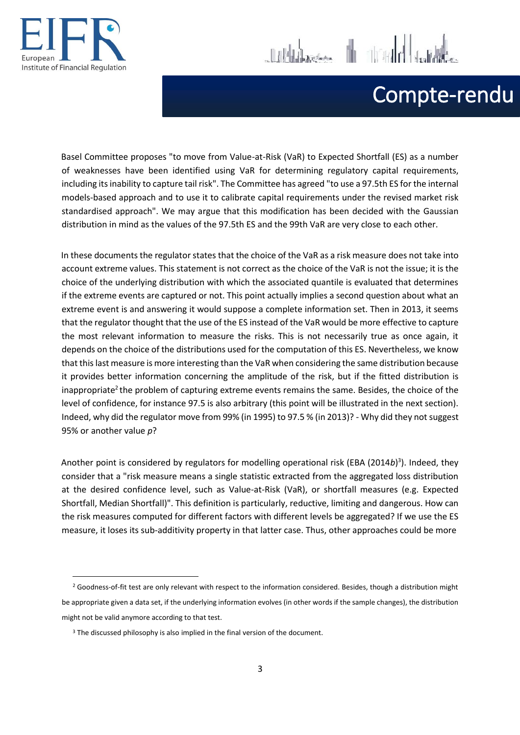

1



## Compte-rendu

Basel Committee proposes "to move from Value-at-Risk (VaR) to Expected Shortfall (ES) as a number of weaknesses have been identified using VaR for determining regulatory capital requirements, including its inability to capture tail risk". The Committee has agreed "to use a 97.5th ES for the internal models-based approach and to use it to calibrate capital requirements under the revised market risk standardised approach". We may argue that this modification has been decided with the Gaussian distribution in mind as the values of the 97.5th ES and the 99th VaR are very close to each other.

In these documents the regulator states that the choice of the VaR as a risk measure does not take into account extreme values. This statement is not correct as the choice of the VaR is not the issue; it is the choice of the underlying distribution with which the associated quantile is evaluated that determines if the extreme events are captured or not. This point actually implies a second question about what an extreme event is and answering it would suppose a complete information set. Then in 2013, it seems that the regulator thought that the use of the ES instead of the VaR would be more effective to capture the most relevant information to measure the risks. This is not necessarily true as once again, it depends on the choice of the distributions used for the computation of this ES. Nevertheless, we know that this last measure is more interesting than the VaR when considering the same distribution because it provides better information concerning the amplitude of the risk, but if the fitted distribution is inappropriate<sup>2</sup> the problem of capturing extreme events remains the same. Besides, the choice of the level of confidence, for instance 97.5 is also arbitrary (this point will be illustrated in the next section). Indeed, why did the regulator move from 99% (in 1995) to 97.5 % (in 2013)? - Why did they not suggest 95% or another value *p*?

Another point is considered by regulators for modelling operational risk (EBA (2014*b*) 3 ). Indeed, they consider that a "risk measure means a single statistic extracted from the aggregated loss distribution at the desired confidence level, such as Value-at-Risk (VaR), or shortfall measures (e.g. Expected Shortfall, Median Shortfall)". This definition is particularly, reductive, limiting and dangerous. How can the risk measures computed for different factors with different levels be aggregated? If we use the ES measure, it loses its sub-additivity property in that latter case. Thus, other approaches could be more

<sup>&</sup>lt;sup>2</sup> Goodness-of-fit test are only relevant with respect to the information considered. Besides, though a distribution might be appropriate given a data set, if the underlying information evolves (in other words if the sample changes), the distribution might not be valid anymore according to that test.

<sup>&</sup>lt;sup>3</sup> The discussed philosophy is also implied in the final version of the document.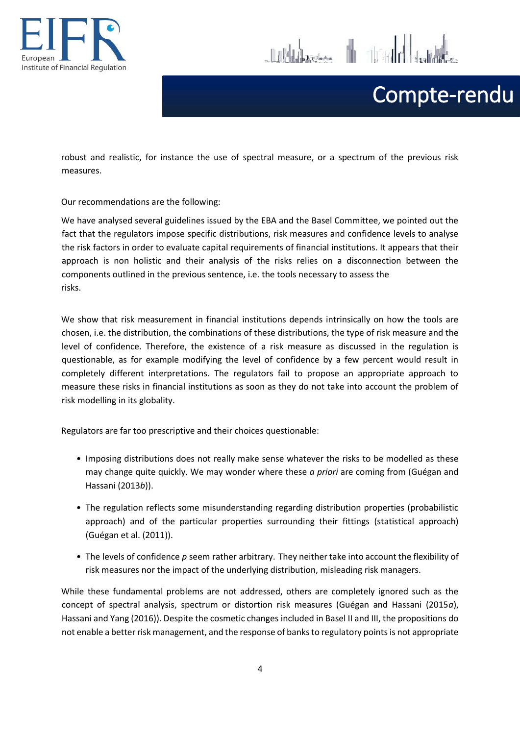



# Compte-rendu

robust and realistic, for instance the use of spectral measure, or a spectrum of the previous risk measures.

Our recommendations are the following:

We have analysed several guidelines issued by the EBA and the Basel Committee, we pointed out the fact that the regulators impose specific distributions, risk measures and confidence levels to analyse the risk factors in order to evaluate capital requirements of financial institutions. It appears that their approach is non holistic and their analysis of the risks relies on a disconnection between the components outlined in the previous sentence, i.e. the tools necessary to assess the risks.

We show that risk measurement in financial institutions depends intrinsically on how the tools are chosen, i.e. the distribution, the combinations of these distributions, the type of risk measure and the level of confidence. Therefore, the existence of a risk measure as discussed in the regulation is questionable, as for example modifying the level of confidence by a few percent would result in completely different interpretations. The regulators fail to propose an appropriate approach to measure these risks in financial institutions as soon as they do not take into account the problem of risk modelling in its globality.

Regulators are far too prescriptive and their choices questionable:

- *•* Imposing distributions does not really make sense whatever the risks to be modelled as these may change quite quickly. We may wonder where these *a priori* are coming from (Guégan and Hassani (2013*b*)).
- *•* The regulation reflects some misunderstanding regarding distribution properties (probabilistic approach) and of the particular properties surrounding their fittings (statistical approach) (Guégan et al. (2011)).
- *•* The levels of confidence *p* seem rather arbitrary. They neither take into account the flexibility of risk measures nor the impact of the underlying distribution, misleading risk managers.

While these fundamental problems are not addressed, others are completely ignored such as the concept of spectral analysis, spectrum or distortion risk measures (Guégan and Hassani (2015*a*), Hassani and Yang (2016)). Despite the cosmetic changes included in Basel II and III, the propositions do not enable a better risk management, and the response of banks to regulatory points is not appropriate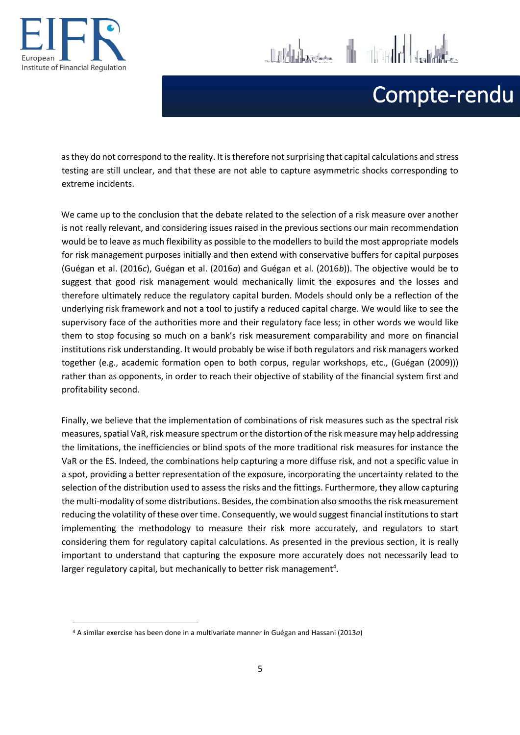

**.** 



11 Huberton The Tradel John

as they do not correspond to the reality. It is therefore not surprising that capital calculations and stress testing are still unclear, and that these are not able to capture asymmetric shocks corresponding to extreme incidents.

We came up to the conclusion that the debate related to the selection of a risk measure over another is not really relevant, and considering issues raised in the previous sections our main recommendation would be to leave as much flexibility as possible to the modellers to build the most appropriate models for risk management purposes initially and then extend with conservative buffers for capital purposes (Guégan et al. (2016*c*), Guégan et al. (2016*a*) and Guégan et al. (2016*b*)). The objective would be to suggest that good risk management would mechanically limit the exposures and the losses and therefore ultimately reduce the regulatory capital burden. Models should only be a reflection of the underlying risk framework and not a tool to justify a reduced capital charge. We would like to see the supervisory face of the authorities more and their regulatory face less; in other words we would like them to stop focusing so much on a bank's risk measurement comparability and more on financial institutions risk understanding. It would probably be wise if both regulators and risk managers worked together (e.g., academic formation open to both corpus, regular workshops, etc., (Guégan (2009))) rather than as opponents, in order to reach their objective of stability of the financial system first and profitability second.

Finally, we believe that the implementation of combinations of risk measures such as the spectral risk measures, spatial VaR, risk measure spectrum or the distortion of the risk measure may help addressing the limitations, the inefficiencies or blind spots of the more traditional risk measures for instance the VaR or the ES. Indeed, the combinations help capturing a more diffuse risk, and not a specific value in a spot, providing a better representation of the exposure, incorporating the uncertainty related to the selection of the distribution used to assess the risks and the fittings. Furthermore, they allow capturing the multi-modality of some distributions. Besides, the combination also smooths the risk measurement reducing the volatility of these over time. Consequently, we would suggest financial institutions to start implementing the methodology to measure their risk more accurately, and regulators to start considering them for regulatory capital calculations. As presented in the previous section, it is really important to understand that capturing the exposure more accurately does not necessarily lead to larger regulatory capital, but mechanically to better risk management<sup>4</sup>.

<sup>4</sup> A similar exercise has been done in a multivariate manner in Guégan and Hassani (2013*a*)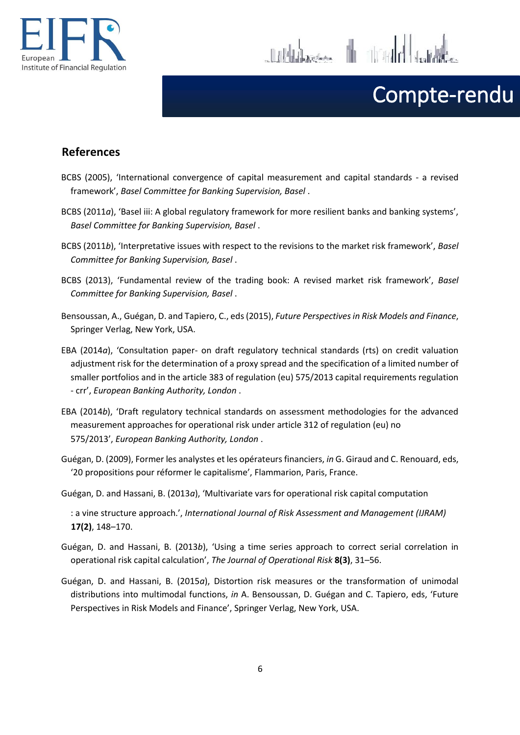

10 Holdwigen III 11 11 Hold

# Compte-rendu

### **References**

- BCBS (2005), 'International convergence of capital measurement and capital standards a revised framework', *Basel Committee for Banking Supervision, Basel* .
- BCBS (2011*a*), 'Basel iii: A global regulatory framework for more resilient banks and banking systems', *Basel Committee for Banking Supervision, Basel* .
- BCBS (2011*b*), 'Interpretative issues with respect to the revisions to the market risk framework', *Basel Committee for Banking Supervision, Basel* .
- BCBS (2013), 'Fundamental review of the trading book: A revised market risk framework', *Basel Committee for Banking Supervision, Basel* .
- Bensoussan, A., Guégan, D. and Tapiero, C., eds (2015), *Future Perspectives in Risk Models and Finance*, Springer Verlag, New York, USA.
- EBA (2014*a*), 'Consultation paper- on draft regulatory technical standards (rts) on credit valuation adjustment risk for the determination of a proxy spread and the specification of a limited number of smaller portfolios and in the article 383 of regulation (eu) 575/2013 capital requirements regulation - crr', *European Banking Authority, London* .
- EBA (2014*b*), 'Draft regulatory technical standards on assessment methodologies for the advanced measurement approaches for operational risk under article 312 of regulation (eu) no 575/2013', *European Banking Authority, London* .
- Guégan, D. (2009), Former les analystes et les opérateurs financiers, *in* G. Giraud and C. Renouard, eds, '20 propositions pour réformer le capitalisme', Flammarion, Paris, France.
- Guégan, D. and Hassani, B. (2013*a*), 'Multivariate vars for operational risk capital computation
	- : a vine structure approach.', *International Journal of Risk Assessment and Management (IJRAM)*  **17(2)**, 148–170.
- Guégan, D. and Hassani, B. (2013*b*), 'Using a time series approach to correct serial correlation in operational risk capital calculation', *The Journal of Operational Risk* **8(3)**, 31–56.
- Guégan, D. and Hassani, B. (2015*a*), Distortion risk measures or the transformation of unimodal distributions into multimodal functions, *in* A. Bensoussan, D. Guégan and C. Tapiero, eds, 'Future Perspectives in Risk Models and Finance', Springer Verlag, New York, USA.